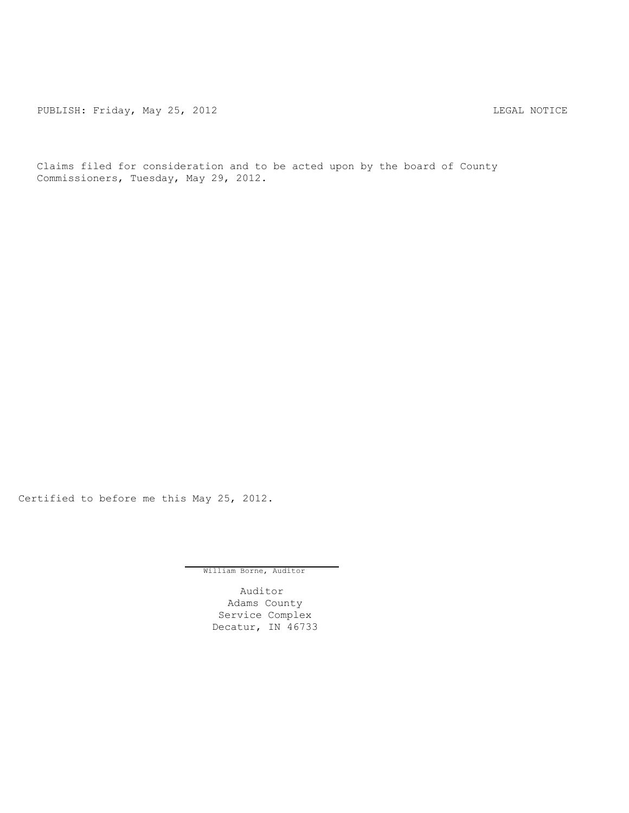PUBLISH: Friday, May 25, 2012 <br>
LEGAL NOTICE

Claims filed for consideration and to be acted upon by the board of County Commissioners, Tuesday, May 29, 2012.

Certified to before me this May 25, 2012.

William Borne, Auditor

Auditor Adams County Service Complex Decatur, IN 46733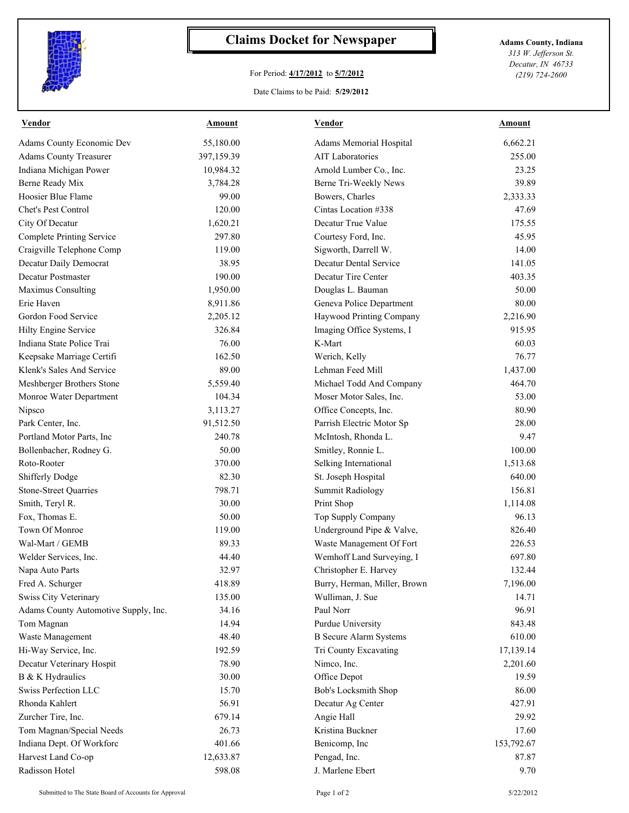

## **Claims Docket for Newspaper Adams County, Indiana**

## For Period: **4/17/2012** to **5/7/2012**

*313 W. Jefferson St. Decatur, IN 46733 (219) 724-2600*

Date Claims to be Paid: **5/29/2012**

| <b>Vendor</b>                        | <b>Amount</b> | <b>Vendor</b>                 | <b>Amount</b> |
|--------------------------------------|---------------|-------------------------------|---------------|
| Adams County Economic Dev            | 55,180.00     | Adams Memorial Hospital       | 6,662.21      |
| <b>Adams County Treasurer</b>        | 397,159.39    | <b>AIT Laboratories</b>       | 255.00        |
| Indiana Michigan Power               | 10,984.32     | Arnold Lumber Co., Inc.       | 23.25         |
| Berne Ready Mix                      | 3,784.28      | Berne Tri-Weekly News         | 39.89         |
| Hoosier Blue Flame                   | 99.00         | Bowers, Charles               | 2,333.33      |
| Chet's Pest Control                  | 120.00        | Cintas Location #338          | 47.69         |
| City Of Decatur                      | 1,620.21      | Decatur True Value            | 175.55        |
| <b>Complete Printing Service</b>     | 297.80        | Courtesy Ford, Inc.           | 45.95         |
| Craigville Telephone Comp            | 119.00        | Sigworth, Darrell W.          | 14.00         |
| Decatur Daily Democrat               | 38.95         | Decatur Dental Service        | 141.05        |
| Decatur Postmaster                   | 190.00        | Decatur Tire Center           | 403.35        |
| Maximus Consulting                   | 1,950.00      | Douglas L. Bauman             | 50.00         |
| Erie Haven                           | 8,911.86      | Geneva Police Department      | 80.00         |
| Gordon Food Service                  | 2,205.12      | Haywood Printing Company      | 2,216.90      |
| Hilty Engine Service                 | 326.84        | Imaging Office Systems, I     | 915.95        |
| Indiana State Police Trai            | 76.00         | K-Mart                        | 60.03         |
| Keepsake Marriage Certifi            | 162.50        | Werich, Kelly                 | 76.77         |
| Klenk's Sales And Service            | 89.00         | Lehman Feed Mill              | 1,437.00      |
| Meshberger Brothers Stone            | 5,559.40      | Michael Todd And Company      | 464.70        |
| Monroe Water Department              | 104.34        | Moser Motor Sales, Inc.       | 53.00         |
| Nipsco                               | 3,113.27      | Office Concepts, Inc.         | 80.90         |
| Park Center, Inc.                    | 91,512.50     | Parrish Electric Motor Sp     | 28.00         |
| Portland Motor Parts, Inc            | 240.78        | McIntosh, Rhonda L.           | 9.47          |
| Bollenbacher, Rodney G.              | 50.00         | Smitley, Ronnie L.            | 100.00        |
| Roto-Rooter                          | 370.00        | Selking International         | 1,513.68      |
| <b>Shifferly Dodge</b>               | 82.30         | St. Joseph Hospital           | 640.00        |
| <b>Stone-Street Quarries</b>         | 798.71        | <b>Summit Radiology</b>       | 156.81        |
| Smith, Teryl R.                      | 30.00         | Print Shop                    | 1,114.08      |
| Fox, Thomas E.                       | 50.00         | Top Supply Company            | 96.13         |
| Town Of Monroe                       | 119.00        | Underground Pipe & Valve,     | 826.40        |
| Wal-Mart / GEMB                      | 89.33         | Waste Management Of Fort      | 226.53        |
| Welder Services, Inc.                | 44.40         | Wemhoff Land Surveying, I     | 697.80        |
| Napa Auto Parts                      | 32.97         | Christopher E. Harvey         | 132.44        |
| Fred A. Schurger                     | 418.89        | Burry, Herman, Miller, Brown  | 7,196.00      |
| <b>Swiss City Veterinary</b>         | 135.00        | Wulliman, J. Sue              | 14.71         |
| Adams County Automotive Supply, Inc. | 34.16         | Paul Norr                     | 96.91         |
| Tom Magnan                           | 14.94         | Purdue University             | 843.48        |
| Waste Management                     | 48.40         | <b>B</b> Secure Alarm Systems | 610.00        |
| Hi-Way Service, Inc.                 | 192.59        | Tri County Excavating         | 17,139.14     |
| Decatur Veterinary Hospit            | 78.90         | Nimco, Inc.                   | 2,201.60      |
| B & K Hydraulics                     | 30.00         | Office Depot                  | 19.59         |
| Swiss Perfection LLC                 | 15.70         | Bob's Locksmith Shop          | 86.00         |
| Rhonda Kahlert                       | 56.91         | Decatur Ag Center             | 427.91        |
| Zurcher Tire, Inc.                   | 679.14        | Angie Hall                    | 29.92         |
| Tom Magnan/Special Needs             | 26.73         | Kristina Buckner              | 17.60         |
| Indiana Dept. Of Workforc            | 401.66        | Benicomp, Inc                 | 153,792.67    |
| Harvest Land Co-op                   | 12,633.87     | Pengad, Inc.                  | 87.87         |
| Radisson Hotel                       | 598.08        | J. Marlene Ebert              | 9.70          |